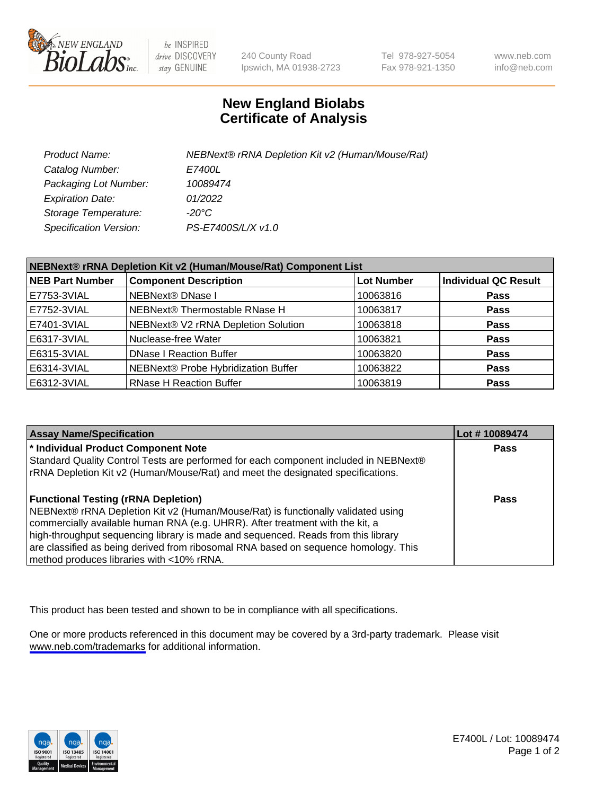

be INSPIRED drive DISCOVERY stay GENUINE

240 County Road Ipswich, MA 01938-2723 Tel 978-927-5054 Fax 978-921-1350

www.neb.com info@neb.com

## **New England Biolabs Certificate of Analysis**

| Product Name:           | NEBNext® rRNA Depletion Kit v2 (Human/Mouse/Rat) |
|-------------------------|--------------------------------------------------|
| Catalog Number:         | <i>E7400L</i>                                    |
| Packaging Lot Number:   | 10089474                                         |
| <b>Expiration Date:</b> | 01/2022                                          |
| Storage Temperature:    | -20°C                                            |
| Specification Version:  | PS-E7400S/L/X v1.0                               |

| NEBNext® rRNA Depletion Kit v2 (Human/Mouse/Rat) Component List |                                     |                   |                             |  |
|-----------------------------------------------------------------|-------------------------------------|-------------------|-----------------------------|--|
| <b>NEB Part Number</b>                                          | <b>Component Description</b>        | <b>Lot Number</b> | <b>Individual QC Result</b> |  |
| E7753-3VIAL                                                     | <b>NEBNext® DNase I</b>             | 10063816          | <b>Pass</b>                 |  |
| E7752-3VIAL                                                     | NEBNext® Thermostable RNase H       | 10063817          | <b>Pass</b>                 |  |
| E7401-3VIAL                                                     | NEBNext® V2 rRNA Depletion Solution | 10063818          | <b>Pass</b>                 |  |
| E6317-3VIAL                                                     | Nuclease-free Water                 | 10063821          | <b>Pass</b>                 |  |
| E6315-3VIAL                                                     | <b>DNase I Reaction Buffer</b>      | 10063820          | <b>Pass</b>                 |  |
| E6314-3VIAL                                                     | NEBNext® Probe Hybridization Buffer | 10063822          | <b>Pass</b>                 |  |
| E6312-3VIAL                                                     | <b>RNase H Reaction Buffer</b>      | 10063819          | <b>Pass</b>                 |  |

| <b>Assay Name/Specification</b>                                                      | Lot # 10089474 |
|--------------------------------------------------------------------------------------|----------------|
| * Individual Product Component Note                                                  | <b>Pass</b>    |
| Standard Quality Control Tests are performed for each component included in NEBNext® |                |
| rRNA Depletion Kit v2 (Human/Mouse/Rat) and meet the designated specifications.      |                |
| <b>Functional Testing (rRNA Depletion)</b>                                           | Pass           |
| NEBNext® rRNA Depletion Kit v2 (Human/Mouse/Rat) is functionally validated using     |                |
| commercially available human RNA (e.g. UHRR). After treatment with the kit, a        |                |
| high-throughput sequencing library is made and sequenced. Reads from this library    |                |
| are classified as being derived from ribosomal RNA based on sequence homology. This  |                |
| method produces libraries with <10% rRNA.                                            |                |

This product has been tested and shown to be in compliance with all specifications.

One or more products referenced in this document may be covered by a 3rd-party trademark. Please visit <www.neb.com/trademarks>for additional information.